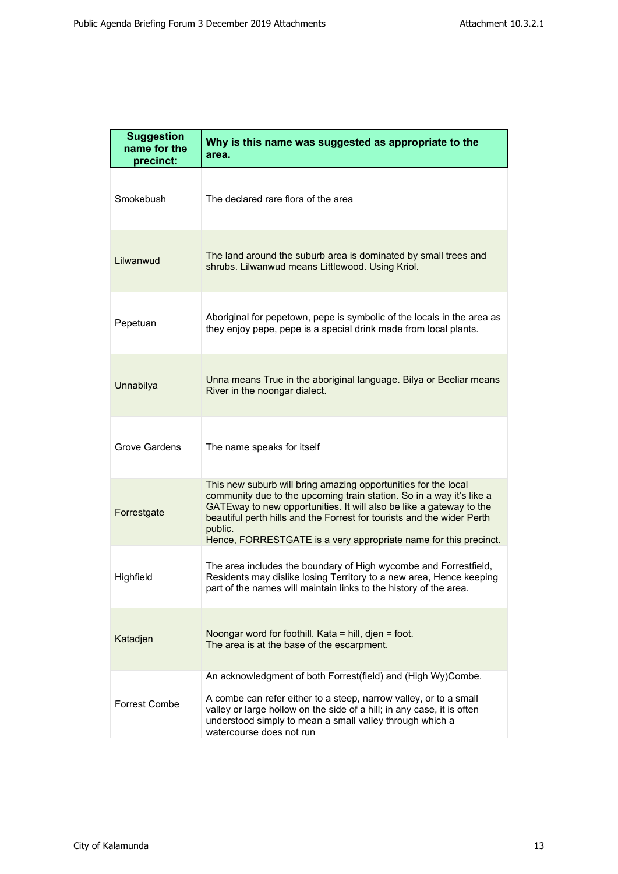r

| <b>Suggestion</b><br>name for the<br>precinct: | Why is this name was suggested as appropriate to the<br>area.                                                                                                                                                                                                                                                                                                          |
|------------------------------------------------|------------------------------------------------------------------------------------------------------------------------------------------------------------------------------------------------------------------------------------------------------------------------------------------------------------------------------------------------------------------------|
| Smokebush                                      | The declared rare flora of the area                                                                                                                                                                                                                                                                                                                                    |
| Lilwanwud                                      | The land around the suburb area is dominated by small trees and<br>shrubs. Lilwanwud means Littlewood. Using Kriol.                                                                                                                                                                                                                                                    |
| Pepetuan                                       | Aboriginal for pepetown, pepe is symbolic of the locals in the area as<br>they enjoy pepe, pepe is a special drink made from local plants.                                                                                                                                                                                                                             |
| Unnabilya                                      | Unna means True in the aboriginal language. Bilya or Beeliar means<br>River in the noongar dialect.                                                                                                                                                                                                                                                                    |
| Grove Gardens                                  | The name speaks for itself                                                                                                                                                                                                                                                                                                                                             |
| Forrestgate                                    | This new suburb will bring amazing opportunities for the local<br>community due to the upcoming train station. So in a way it's like a<br>GATEway to new opportunities. It will also be like a gateway to the<br>beautiful perth hills and the Forrest for tourists and the wider Perth<br>public.<br>Hence, FORRESTGATE is a very appropriate name for this precinct. |
| Highfield                                      | The area includes the boundary of High wycombe and Forrestfield,<br>Residents may dislike losing Territory to a new area, Hence keeping<br>part of the names will maintain links to the history of the area.                                                                                                                                                           |
| Katadjen                                       | Noongar word for foothill. Kata = hill, djen = foot.<br>The area is at the base of the escarpment.                                                                                                                                                                                                                                                                     |
| <b>Forrest Combe</b>                           | An acknowledgment of both Forrest(field) and (High Wy)Combe.<br>A combe can refer either to a steep, narrow valley, or to a small<br>valley or large hollow on the side of a hill; in any case, it is often<br>understood simply to mean a small valley through which a<br>watercourse does not run                                                                    |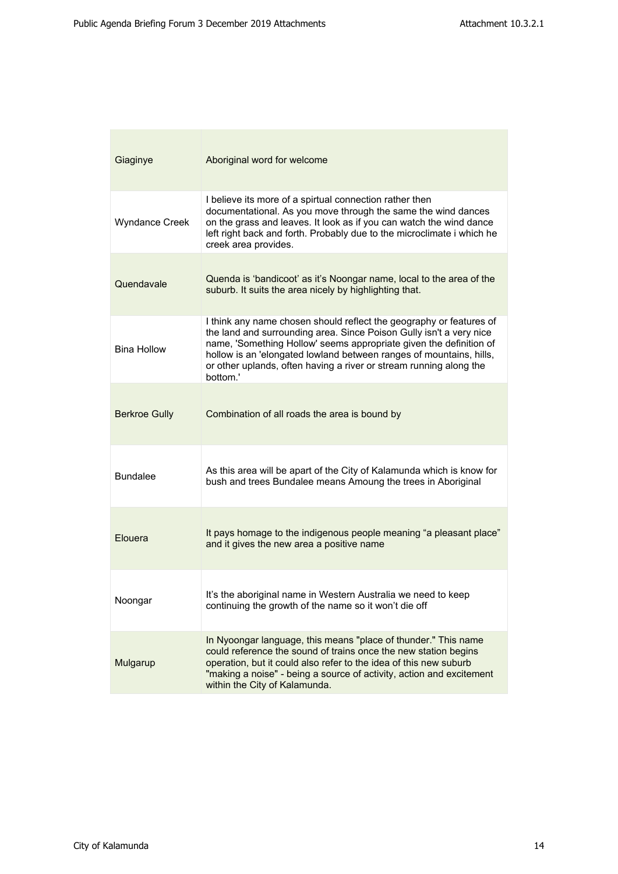| Giaginye              | Aboriginal word for welcome                                                                                                                                                                                                                                                                                                                                               |
|-----------------------|---------------------------------------------------------------------------------------------------------------------------------------------------------------------------------------------------------------------------------------------------------------------------------------------------------------------------------------------------------------------------|
| <b>Wyndance Creek</b> | I believe its more of a spirtual connection rather then<br>documentational. As you move through the same the wind dances<br>on the grass and leaves. It look as if you can watch the wind dance<br>left right back and forth. Probably due to the microclimate i which he<br>creek area provides.                                                                         |
| Quendavale            | Quenda is 'bandicoot' as it's Noongar name, local to the area of the<br>suburb. It suits the area nicely by highlighting that.                                                                                                                                                                                                                                            |
| <b>Bina Hollow</b>    | I think any name chosen should reflect the geography or features of<br>the land and surrounding area. Since Poison Gully isn't a very nice<br>name, 'Something Hollow' seems appropriate given the definition of<br>hollow is an 'elongated lowland between ranges of mountains, hills,<br>or other uplands, often having a river or stream running along the<br>hottom.' |
| <b>Berkroe Gully</b>  | Combination of all roads the area is bound by                                                                                                                                                                                                                                                                                                                             |
| <b>Bundalee</b>       | As this area will be apart of the City of Kalamunda which is know for<br>bush and trees Bundalee means Amoung the trees in Aboriginal                                                                                                                                                                                                                                     |
| Elouera               | It pays homage to the indigenous people meaning "a pleasant place"<br>and it gives the new area a positive name                                                                                                                                                                                                                                                           |
| Noongar               | It's the aboriginal name in Western Australia we need to keep<br>continuing the growth of the name so it won't die off                                                                                                                                                                                                                                                    |
| Mulgarup              | In Nyoongar language, this means "place of thunder." This name<br>could reference the sound of trains once the new station begins<br>operation, but it could also refer to the idea of this new suburb<br>"making a noise" - being a source of activity, action and excitement<br>within the City of Kalamunda.                                                           |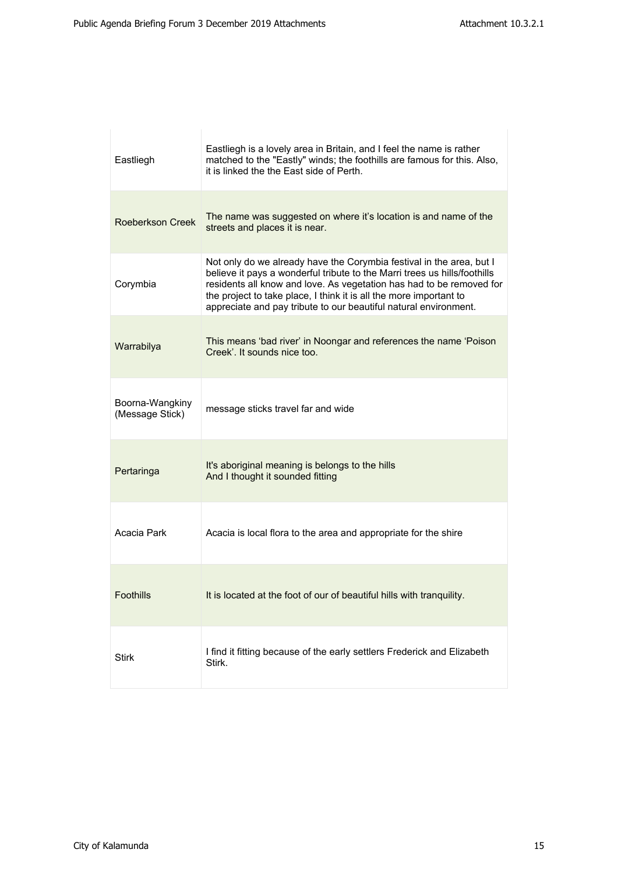| Eastliegh                          | Eastliegh is a lovely area in Britain, and I feel the name is rather<br>matched to the "Eastly" winds; the foothills are famous for this. Also,<br>it is linked the the East side of Perth.                                                                                                                                                                         |
|------------------------------------|---------------------------------------------------------------------------------------------------------------------------------------------------------------------------------------------------------------------------------------------------------------------------------------------------------------------------------------------------------------------|
| Roeberkson Creek                   | The name was suggested on where it's location is and name of the<br>streets and places it is near.                                                                                                                                                                                                                                                                  |
| Corymbia                           | Not only do we already have the Corymbia festival in the area, but I<br>believe it pays a wonderful tribute to the Marri trees us hills/foothills<br>residents all know and love. As vegetation has had to be removed for<br>the project to take place, I think it is all the more important to<br>appreciate and pay tribute to our beautiful natural environment. |
| Warrabilya                         | This means 'bad river' in Noongar and references the name 'Poison<br>Creek'. It sounds nice too.                                                                                                                                                                                                                                                                    |
| Boorna-Wangkiny<br>(Message Stick) | message sticks travel far and wide                                                                                                                                                                                                                                                                                                                                  |
| Pertaringa                         | It's aboriginal meaning is belongs to the hills<br>And I thought it sounded fitting                                                                                                                                                                                                                                                                                 |
| Acacia Park                        | Acacia is local flora to the area and appropriate for the shire                                                                                                                                                                                                                                                                                                     |
| <b>Foothills</b>                   | It is located at the foot of our of beautiful hills with tranquility.                                                                                                                                                                                                                                                                                               |
| Stirk                              | I find it fitting because of the early settlers Frederick and Elizabeth<br>Stirk.                                                                                                                                                                                                                                                                                   |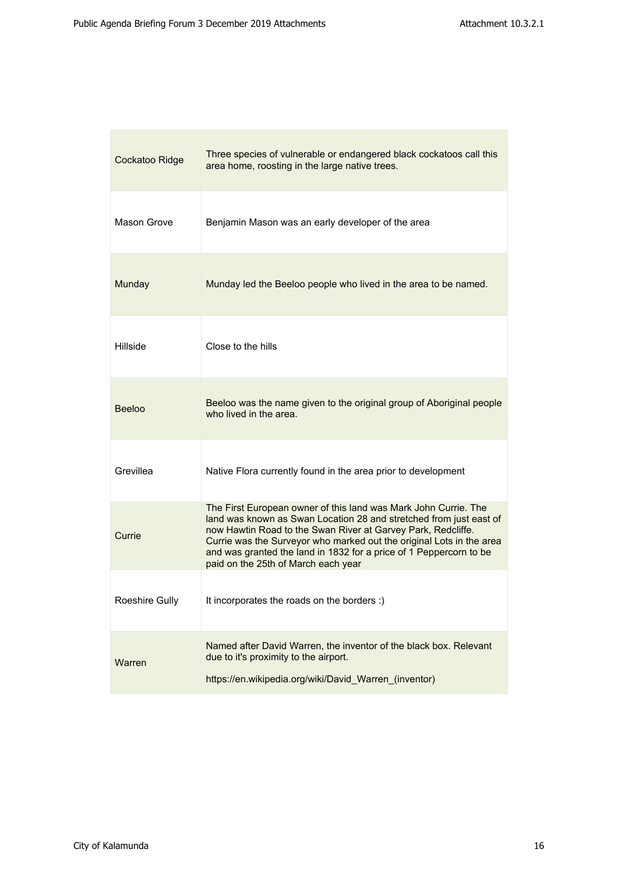| Cockatoo Ridge | Three species of vulnerable or endangered black cockatoos call this<br>area home, roosting in the large native trees.                                                                                                                                                                                                                                                                      |
|----------------|--------------------------------------------------------------------------------------------------------------------------------------------------------------------------------------------------------------------------------------------------------------------------------------------------------------------------------------------------------------------------------------------|
| Mason Grove    | Benjamin Mason was an early developer of the area                                                                                                                                                                                                                                                                                                                                          |
| Munday         | Munday led the Beeloo people who lived in the area to be named.                                                                                                                                                                                                                                                                                                                            |
| Hillside       | Close to the hills                                                                                                                                                                                                                                                                                                                                                                         |
| <b>Beeloo</b>  | Beeloo was the name given to the original group of Aboriginal people<br>who lived in the area.                                                                                                                                                                                                                                                                                             |
| Grevillea      | Native Flora currently found in the area prior to development                                                                                                                                                                                                                                                                                                                              |
| Currie         | The First European owner of this land was Mark John Currie. The<br>land was known as Swan Location 28 and stretched from just east of<br>now Hawtin Road to the Swan River at Garvey Park, Redcliffe.<br>Currie was the Surveyor who marked out the original Lots in the area<br>and was granted the land in 1832 for a price of 1 Peppercorn to be<br>paid on the 25th of March each year |
| Roeshire Gully | It incorporates the roads on the borders :)                                                                                                                                                                                                                                                                                                                                                |
| Warren         | Named after David Warren, the inventor of the black box. Relevant<br>due to it's proximity to the airport.<br>https://en.wikipedia.org/wiki/David_Warren_(inventor)                                                                                                                                                                                                                        |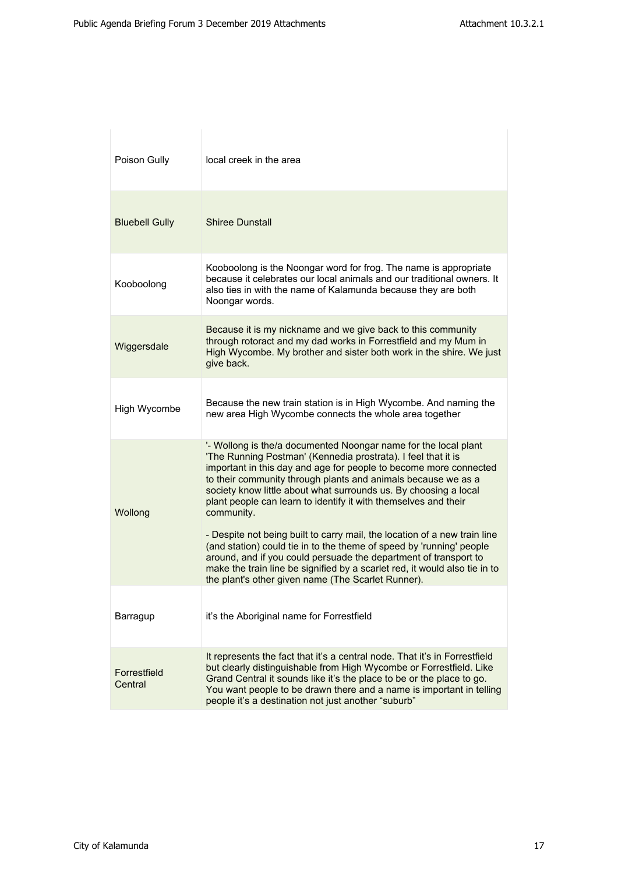| Poison Gully            | local creek in the area                                                                                                                                                                                                                                                                                                                                                                                                     |
|-------------------------|-----------------------------------------------------------------------------------------------------------------------------------------------------------------------------------------------------------------------------------------------------------------------------------------------------------------------------------------------------------------------------------------------------------------------------|
| <b>Bluebell Gully</b>   | <b>Shiree Dunstall</b>                                                                                                                                                                                                                                                                                                                                                                                                      |
| Kooboolong              | Kooboolong is the Noongar word for frog. The name is appropriate<br>because it celebrates our local animals and our traditional owners. It<br>also ties in with the name of Kalamunda because they are both<br>Noongar words.                                                                                                                                                                                               |
| Wiggersdale             | Because it is my nickname and we give back to this community<br>through rotoract and my dad works in Forrestfield and my Mum in<br>High Wycombe. My brother and sister both work in the shire. We just<br>give back.                                                                                                                                                                                                        |
| High Wycombe            | Because the new train station is in High Wycombe. And naming the<br>new area High Wycombe connects the whole area together                                                                                                                                                                                                                                                                                                  |
| Wollong                 | '- Wollong is the/a documented Noongar name for the local plant<br>'The Running Postman' (Kennedia prostrata). I feel that it is<br>important in this day and age for people to become more connected<br>to their community through plants and animals because we as a<br>society know little about what surrounds us. By choosing a local<br>plant people can learn to identify it with themselves and their<br>community. |
|                         | - Despite not being built to carry mail, the location of a new train line<br>(and station) could tie in to the theme of speed by 'running' people<br>around, and if you could persuade the department of transport to<br>make the train line be signified by a scarlet red, it would also tie in to<br>the plant's other given name (The Scarlet Runner).                                                                   |
| Barragup                | it's the Aboriginal name for Forrestfield                                                                                                                                                                                                                                                                                                                                                                                   |
| Forrestfield<br>Central | It represents the fact that it's a central node. That it's in Forrestfield<br>but clearly distinguishable from High Wycombe or Forrestfield. Like<br>Grand Central it sounds like it's the place to be or the place to go.<br>You want people to be drawn there and a name is important in telling<br>people it's a destination not just another "suburb"                                                                   |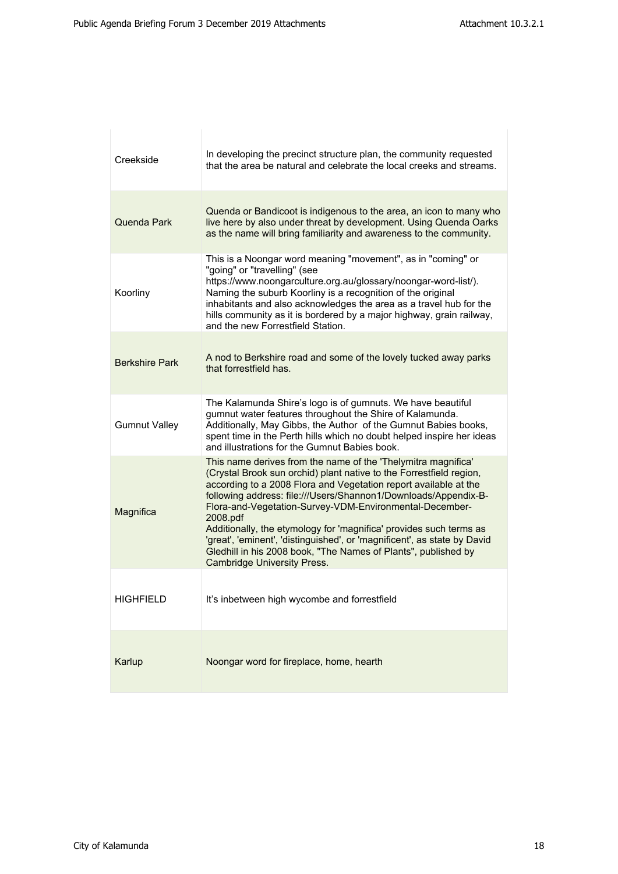| Creekside             | In developing the precinct structure plan, the community requested<br>that the area be natural and celebrate the local creeks and streams.                                                                                                                                                                                                                                                                                                                                                                                                                                                                   |
|-----------------------|--------------------------------------------------------------------------------------------------------------------------------------------------------------------------------------------------------------------------------------------------------------------------------------------------------------------------------------------------------------------------------------------------------------------------------------------------------------------------------------------------------------------------------------------------------------------------------------------------------------|
| Quenda Park           | Quenda or Bandicoot is indigenous to the area, an icon to many who<br>live here by also under threat by development. Using Quenda Oarks<br>as the name will bring familiarity and awareness to the community.                                                                                                                                                                                                                                                                                                                                                                                                |
| Koorliny              | This is a Noongar word meaning "movement", as in "coming" or<br>"going" or "travelling" (see<br>https://www.noongarculture.org.au/glossary/noongar-word-list/).<br>Naming the suburb Koorliny is a recognition of the original<br>inhabitants and also acknowledges the area as a travel hub for the<br>hills community as it is bordered by a major highway, grain railway,<br>and the new Forrestfield Station.                                                                                                                                                                                            |
| <b>Berkshire Park</b> | A nod to Berkshire road and some of the lovely tucked away parks<br>that forrestfield has.                                                                                                                                                                                                                                                                                                                                                                                                                                                                                                                   |
| <b>Gumnut Valley</b>  | The Kalamunda Shire's logo is of gumnuts. We have beautiful<br>gumnut water features throughout the Shire of Kalamunda.<br>Additionally, May Gibbs, the Author of the Gumnut Babies books,<br>spent time in the Perth hills which no doubt helped inspire her ideas<br>and illustrations for the Gumnut Babies book.                                                                                                                                                                                                                                                                                         |
| Magnifica             | This name derives from the name of the 'Thelymitra magnifica'<br>(Crystal Brook sun orchid) plant native to the Forrestfield region,<br>according to a 2008 Flora and Vegetation report available at the<br>following address: file:///Users/Shannon1/Downloads/Appendix-B-<br>Flora-and-Vegetation-Survey-VDM-Environmental-December-<br>2008.pdf<br>Additionally, the etymology for 'magnifica' provides such terms as<br>'great', 'eminent', 'distinguished', or 'magnificent', as state by David<br>Gledhill in his 2008 book, "The Names of Plants", published by<br><b>Cambridge University Press.</b> |
| <b>HIGHFIELD</b>      | It's inbetween high wycombe and forrestfield                                                                                                                                                                                                                                                                                                                                                                                                                                                                                                                                                                 |
| Karlup                | Noongar word for fireplace, home, hearth                                                                                                                                                                                                                                                                                                                                                                                                                                                                                                                                                                     |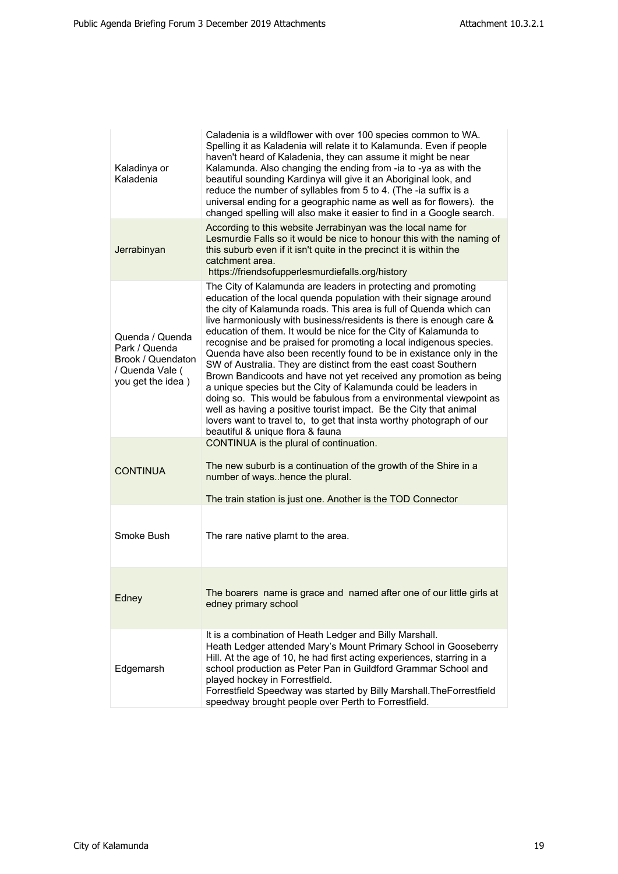| Kaladinya or<br>Kaladenia                                                                     | Caladenia is a wildflower with over 100 species common to WA.<br>Spelling it as Kaladenia will relate it to Kalamunda. Even if people<br>haven't heard of Kaladenia, they can assume it might be near<br>Kalamunda. Also changing the ending from -ia to -ya as with the<br>beautiful sounding Kardinya will give it an Aboriginal look, and<br>reduce the number of syllables from 5 to 4. (The -ia suffix is a<br>universal ending for a geographic name as well as for flowers). the<br>changed spelling will also make it easier to find in a Google search.                                                                                                                                                                                                                                                                                                                                                                                                   |
|-----------------------------------------------------------------------------------------------|--------------------------------------------------------------------------------------------------------------------------------------------------------------------------------------------------------------------------------------------------------------------------------------------------------------------------------------------------------------------------------------------------------------------------------------------------------------------------------------------------------------------------------------------------------------------------------------------------------------------------------------------------------------------------------------------------------------------------------------------------------------------------------------------------------------------------------------------------------------------------------------------------------------------------------------------------------------------|
| Jerrabinyan                                                                                   | According to this website Jerrabinyan was the local name for<br>Lesmurdie Falls so it would be nice to honour this with the naming of<br>this suburb even if it isn't quite in the precinct it is within the<br>catchment area.<br>https://friendsofupperlesmurdiefalls.org/history                                                                                                                                                                                                                                                                                                                                                                                                                                                                                                                                                                                                                                                                                |
| Quenda / Quenda<br>Park / Quenda<br>Brook / Quendaton<br>/ Quenda Vale (<br>you get the idea) | The City of Kalamunda are leaders in protecting and promoting<br>education of the local quenda population with their signage around<br>the city of Kalamunda roads. This area is full of Quenda which can<br>live harmoniously with business/residents is there is enough care &<br>education of them. It would be nice for the City of Kalamunda to<br>recognise and be praised for promoting a local indigenous species.<br>Quenda have also been recently found to be in existance only in the<br>SW of Australia. They are distinct from the east coast Southern<br>Brown Bandicoots and have not yet received any promotion as being<br>a unique species but the City of Kalamunda could be leaders in<br>doing so. This would be fabulous from a environmental viewpoint as<br>well as having a positive tourist impact. Be the City that animal<br>lovers want to travel to, to get that insta worthy photograph of our<br>beautiful & unique flora & fauna |
| <b>CONTINUA</b>                                                                               | CONTINUA is the plural of continuation.<br>The new suburb is a continuation of the growth of the Shire in a<br>number of wayshence the plural.<br>The train station is just one. Another is the TOD Connector                                                                                                                                                                                                                                                                                                                                                                                                                                                                                                                                                                                                                                                                                                                                                      |
| Smoke Bush                                                                                    | The rare native plamt to the area.                                                                                                                                                                                                                                                                                                                                                                                                                                                                                                                                                                                                                                                                                                                                                                                                                                                                                                                                 |
| Edney                                                                                         | The boarers name is grace and named after one of our little girls at<br>edney primary school                                                                                                                                                                                                                                                                                                                                                                                                                                                                                                                                                                                                                                                                                                                                                                                                                                                                       |
| Edgemarsh                                                                                     | It is a combination of Heath Ledger and Billy Marshall.<br>Heath Ledger attended Mary's Mount Primary School in Gooseberry<br>Hill. At the age of 10, he had first acting experiences, starring in a<br>school production as Peter Pan in Guildford Grammar School and<br>played hockey in Forrestfield.<br>Forrestfield Speedway was started by Billy Marshall. The Forrestfield<br>speedway brought people over Perth to Forrestfield.                                                                                                                                                                                                                                                                                                                                                                                                                                                                                                                           |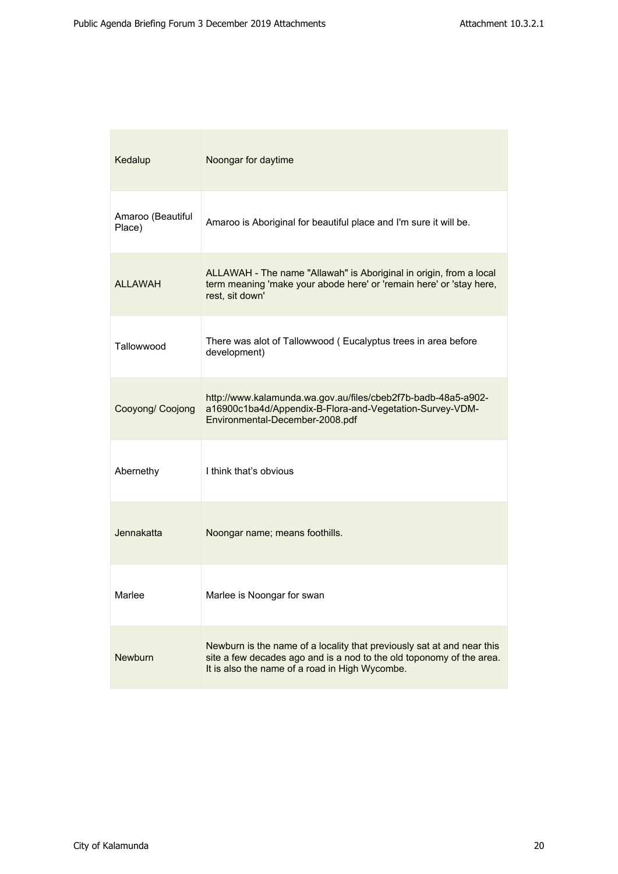| Kedalup                     | Noongar for daytime                                                                                                                                                                              |
|-----------------------------|--------------------------------------------------------------------------------------------------------------------------------------------------------------------------------------------------|
| Amaroo (Beautiful<br>Place) | Amaroo is Aboriginal for beautiful place and I'm sure it will be.                                                                                                                                |
| ALLAWAH                     | ALLAWAH - The name "Allawah" is Aboriginal in origin, from a local<br>term meaning 'make your abode here' or 'remain here' or 'stay here,<br>rest, sit down'                                     |
| Tallowwood                  | There was alot of Tallowwood (Eucalyptus trees in area before<br>development)                                                                                                                    |
| Cooyong/ Coojong            | http://www.kalamunda.wa.gov.au/files/cbeb2f7b-badb-48a5-a902-<br>a16900c1ba4d/Appendix-B-Flora-and-Vegetation-Survey-VDM-<br>Environmental-December-2008.pdf                                     |
| Abernethy                   | I think that's obvious                                                                                                                                                                           |
| Jennakatta                  | Noongar name; means foothills.                                                                                                                                                                   |
| Marlee                      | Marlee is Noongar for swan                                                                                                                                                                       |
| <b>Newburn</b>              | Newburn is the name of a locality that previously sat at and near this<br>site a few decades ago and is a nod to the old toponomy of the area.<br>It is also the name of a road in High Wycombe. |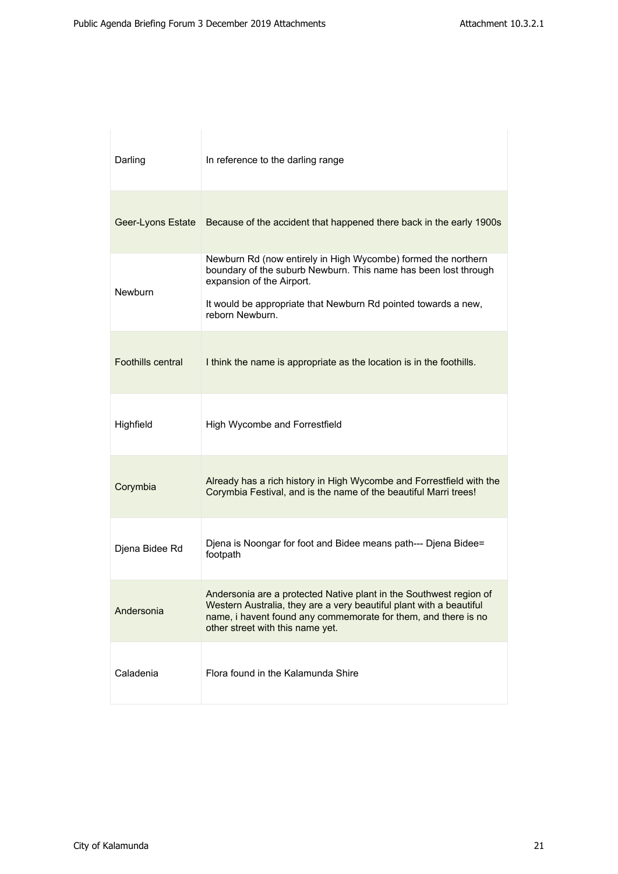| Darling           | In reference to the darling range                                                                                                                                                                                                                  |
|-------------------|----------------------------------------------------------------------------------------------------------------------------------------------------------------------------------------------------------------------------------------------------|
|                   | Geer-Lyons Estate Because of the accident that happened there back in the early 1900s                                                                                                                                                              |
| <b>Newburn</b>    | Newburn Rd (now entirely in High Wycombe) formed the northern<br>boundary of the suburb Newburn. This name has been lost through<br>expansion of the Airport.<br>It would be appropriate that Newburn Rd pointed towards a new,<br>reborn Newburn. |
| Foothills central | I think the name is appropriate as the location is in the foothills.                                                                                                                                                                               |
| Highfield         | High Wycombe and Forrestfield                                                                                                                                                                                                                      |
| Corymbia          | Already has a rich history in High Wycombe and Forrestfield with the<br>Corymbia Festival, and is the name of the beautiful Marri trees!                                                                                                           |
| Djena Bidee Rd    | Djena is Noongar for foot and Bidee means path--- Djena Bidee=<br>footpath                                                                                                                                                                         |
| Andersonia        | Andersonia are a protected Native plant in the Southwest region of<br>Western Australia, they are a very beautiful plant with a beautiful<br>name, i havent found any commemorate for them, and there is no<br>other street with this name yet.    |
| Caladenia         | Flora found in the Kalamunda Shire                                                                                                                                                                                                                 |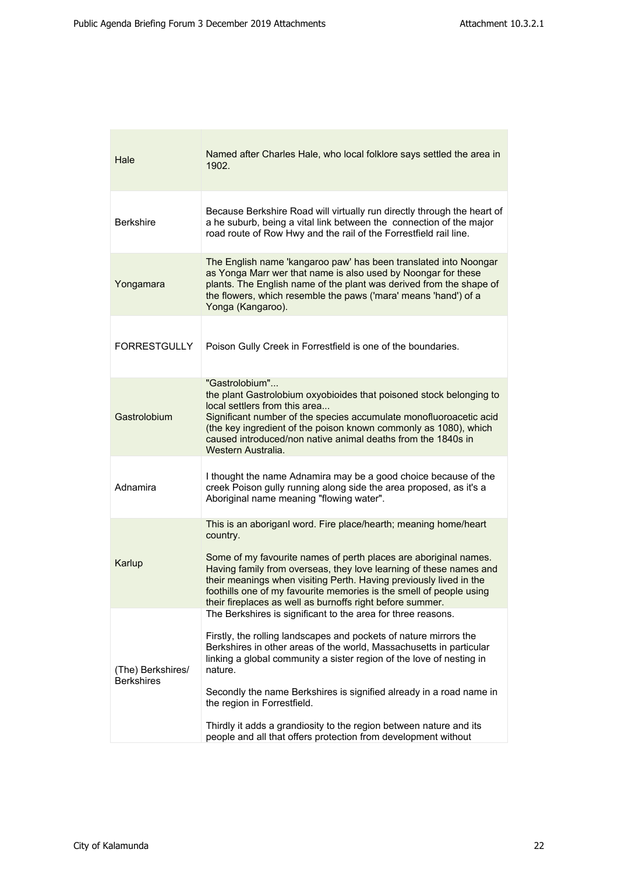| Hale                                   | Named after Charles Hale, who local folklore says settled the area in<br>1902.                                                                                                                                                                                                                                                                                                                                                   |
|----------------------------------------|----------------------------------------------------------------------------------------------------------------------------------------------------------------------------------------------------------------------------------------------------------------------------------------------------------------------------------------------------------------------------------------------------------------------------------|
| <b>Berkshire</b>                       | Because Berkshire Road will virtually run directly through the heart of<br>a he suburb, being a vital link between the connection of the major<br>road route of Row Hwy and the rail of the Forrestfield rail line.                                                                                                                                                                                                              |
| Yongamara                              | The English name 'kangaroo paw' has been translated into Noongar<br>as Yonga Marr wer that name is also used by Noongar for these<br>plants. The English name of the plant was derived from the shape of<br>the flowers, which resemble the paws ('mara' means 'hand') of a<br>Yonga (Kangaroo).                                                                                                                                 |
| <b>FORRESTGULLY</b>                    | Poison Gully Creek in Forrestfield is one of the boundaries.                                                                                                                                                                                                                                                                                                                                                                     |
| Gastrolobium                           | "Gastrolobium"<br>the plant Gastrolobium oxyobioides that poisoned stock belonging to<br>local settlers from this area<br>Significant number of the species accumulate monofluoroacetic acid<br>(the key ingredient of the poison known commonly as 1080), which<br>caused introduced/non native animal deaths from the 1840s in<br>Western Australia.                                                                           |
| Adnamira                               | I thought the name Adnamira may be a good choice because of the<br>creek Poison gully running along side the area proposed, as it's a<br>Aboriginal name meaning "flowing water".                                                                                                                                                                                                                                                |
| Karlup                                 | This is an aboriganl word. Fire place/hearth; meaning home/heart<br>country.<br>Some of my favourite names of perth places are aboriginal names.<br>Having family from overseas, they love learning of these names and<br>their meanings when visiting Perth. Having previously lived in the<br>foothills one of my favourite memories is the smell of people using<br>their fireplaces as well as burnoffs right before summer. |
| (The) Berkshires/<br><b>Berkshires</b> | The Berkshires is significant to the area for three reasons.<br>Firstly, the rolling landscapes and pockets of nature mirrors the<br>Berkshires in other areas of the world, Massachusetts in particular<br>linking a global community a sister region of the love of nesting in<br>nature.<br>Secondly the name Berkshires is signified already in a road name in<br>the region in Forrestfield.                                |
|                                        | Thirdly it adds a grandiosity to the region between nature and its<br>people and all that offers protection from development without                                                                                                                                                                                                                                                                                             |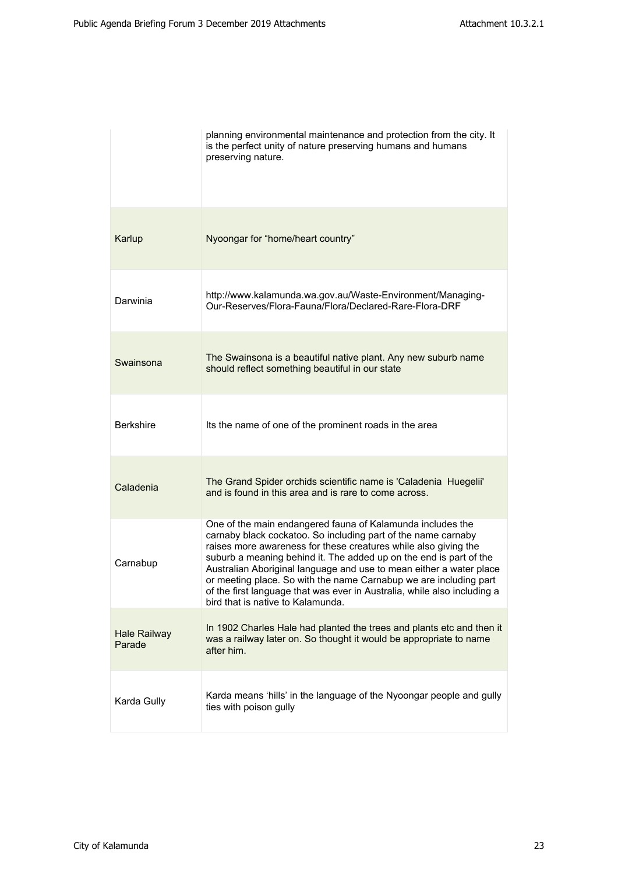|                               | planning environmental maintenance and protection from the city. It<br>is the perfect unity of nature preserving humans and humans<br>preserving nature.                                                                                                                                                                                                                                                                                                                                                                          |
|-------------------------------|-----------------------------------------------------------------------------------------------------------------------------------------------------------------------------------------------------------------------------------------------------------------------------------------------------------------------------------------------------------------------------------------------------------------------------------------------------------------------------------------------------------------------------------|
| Karlup                        | Nyoongar for "home/heart country"                                                                                                                                                                                                                                                                                                                                                                                                                                                                                                 |
| Darwinia                      | http://www.kalamunda.wa.gov.au/Waste-Environment/Managing-<br>Our-Reserves/Flora-Fauna/Flora/Declared-Rare-Flora-DRF                                                                                                                                                                                                                                                                                                                                                                                                              |
| Swainsona                     | The Swainsona is a beautiful native plant. Any new suburb name<br>should reflect something beautiful in our state                                                                                                                                                                                                                                                                                                                                                                                                                 |
| <b>Berkshire</b>              | Its the name of one of the prominent roads in the area                                                                                                                                                                                                                                                                                                                                                                                                                                                                            |
| Caladenia                     | The Grand Spider orchids scientific name is 'Caladenia Huegelii'<br>and is found in this area and is rare to come across.                                                                                                                                                                                                                                                                                                                                                                                                         |
| Carnabup                      | One of the main endangered fauna of Kalamunda includes the<br>carnaby black cockatoo. So including part of the name carnaby<br>raises more awareness for these creatures while also giving the<br>suburb a meaning behind it. The added up on the end is part of the<br>Australian Aboriginal language and use to mean either a water place<br>or meeting place. So with the name Carnabup we are including part<br>of the first language that was ever in Australia, while also including a<br>bird that is native to Kalamunda. |
| <b>Hale Railway</b><br>Parade | In 1902 Charles Hale had planted the trees and plants etc and then it<br>was a railway later on. So thought it would be appropriate to name<br>after him.                                                                                                                                                                                                                                                                                                                                                                         |
| Karda Gully                   | Karda means 'hills' in the language of the Nyoongar people and gully<br>ties with poison gully                                                                                                                                                                                                                                                                                                                                                                                                                                    |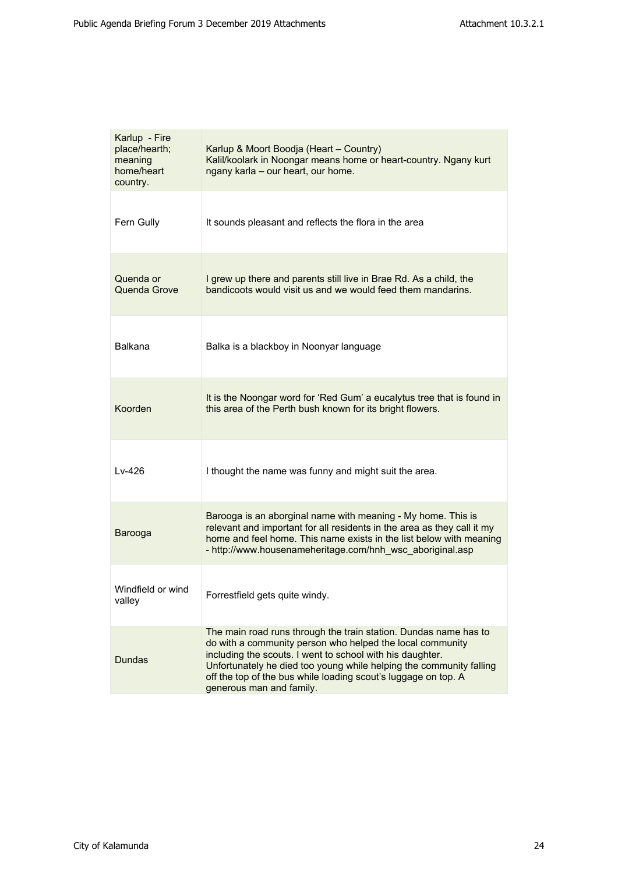| Karlup - Fire<br>place/hearth;<br>meaning<br>home/heart<br>country. | Karlup & Moort Boodja (Heart - Country)<br>Kalil/koolark in Noongar means home or heart-country. Ngany kurt<br>ngany karla - our heart, our home.                                                                                                                                                                                                               |
|---------------------------------------------------------------------|-----------------------------------------------------------------------------------------------------------------------------------------------------------------------------------------------------------------------------------------------------------------------------------------------------------------------------------------------------------------|
| Fern Gully                                                          | It sounds pleasant and reflects the flora in the area                                                                                                                                                                                                                                                                                                           |
| Quenda or<br>Quenda Grove                                           | I grew up there and parents still live in Brae Rd. As a child, the<br>bandicoots would visit us and we would feed them mandarins.                                                                                                                                                                                                                               |
| Balkana                                                             | Balka is a blackboy in Noonyar language                                                                                                                                                                                                                                                                                                                         |
| Koorden                                                             | It is the Noongar word for 'Red Gum' a eucalytus tree that is found in<br>this area of the Perth bush known for its bright flowers.                                                                                                                                                                                                                             |
| Lv-426                                                              | I thought the name was funny and might suit the area.                                                                                                                                                                                                                                                                                                           |
| Barooga                                                             | Barooga is an aborginal name with meaning - My home. This is<br>relevant and important for all residents in the area as they call it my<br>home and feel home. This name exists in the list below with meaning<br>- http://www.housenameheritage.com/hnh_wsc_aboriginal.asp                                                                                     |
| Windfield or wind<br>valley                                         | Forrestfield gets quite windy.                                                                                                                                                                                                                                                                                                                                  |
| <b>Dundas</b>                                                       | The main road runs through the train station. Dundas name has to<br>do with a community person who helped the local community<br>including the scouts. I went to school with his daughter.<br>Unfortunately he died too young while helping the community falling<br>off the top of the bus while loading scout's luggage on top. A<br>generous man and family. |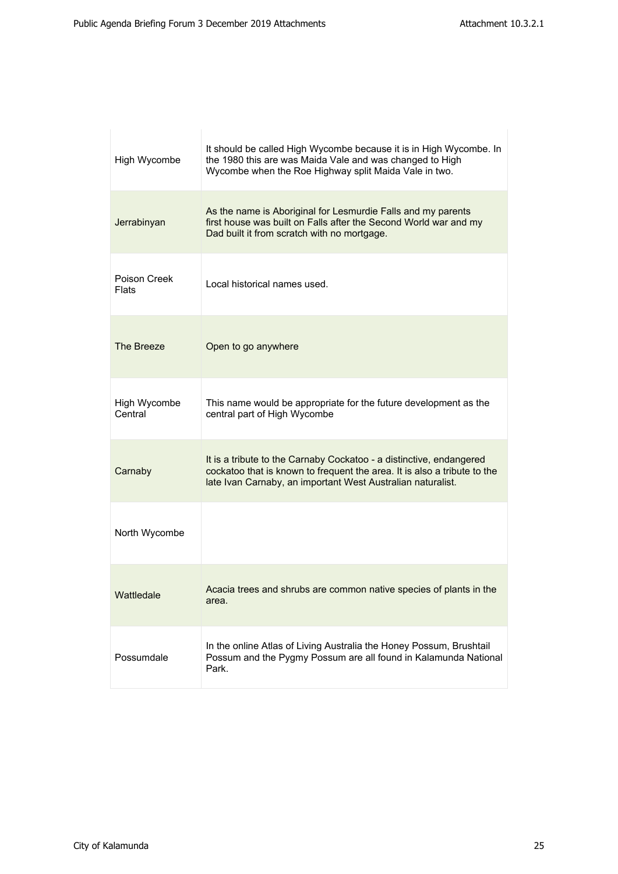| High Wycombe            | It should be called High Wycombe because it is in High Wycombe. In<br>the 1980 this are was Maida Vale and was changed to High<br>Wycombe when the Roe Highway split Maida Vale in two.                        |
|-------------------------|----------------------------------------------------------------------------------------------------------------------------------------------------------------------------------------------------------------|
| Jerrabinyan             | As the name is Aboriginal for Lesmurdie Falls and my parents<br>first house was built on Falls after the Second World war and my<br>Dad built it from scratch with no mortgage.                                |
| Poison Creek<br>Flats   | Local historical names used.                                                                                                                                                                                   |
| The Breeze              | Open to go anywhere                                                                                                                                                                                            |
| High Wycombe<br>Central | This name would be appropriate for the future development as the<br>central part of High Wycombe                                                                                                               |
| Carnaby                 | It is a tribute to the Carnaby Cockatoo - a distinctive, endangered<br>cockatoo that is known to frequent the area. It is also a tribute to the<br>late Ivan Carnaby, an important West Australian naturalist. |
| North Wycombe           |                                                                                                                                                                                                                |
| Wattledale              | Acacia trees and shrubs are common native species of plants in the<br>area.                                                                                                                                    |
| Possumdale              | In the online Atlas of Living Australia the Honey Possum, Brushtail<br>Possum and the Pygmy Possum are all found in Kalamunda National<br>Park.                                                                |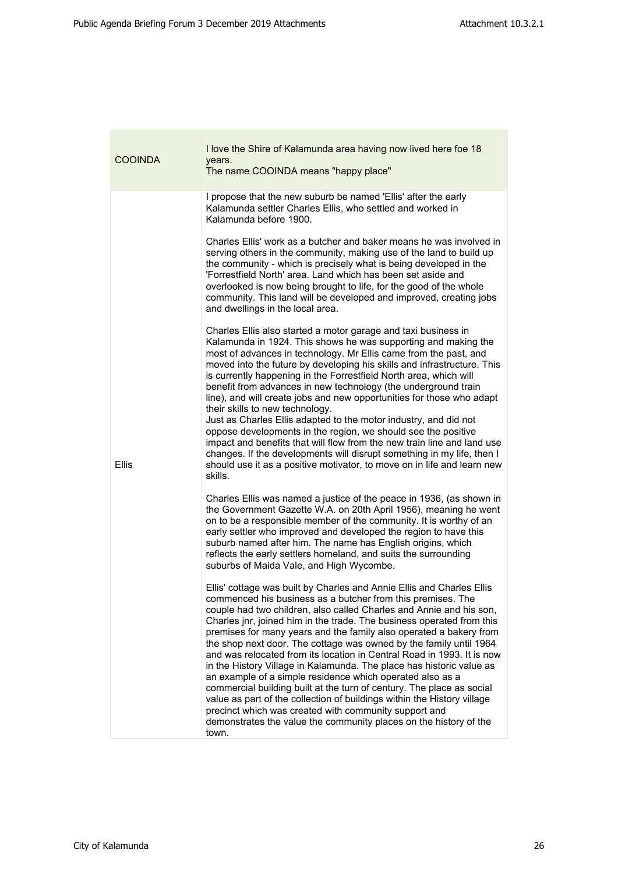| COOINDA      | I love the Shire of Kalamunda area having now lived here foe 18<br>years.<br>The name COOINDA means "happy place"                                                                                                                                                                                                                                                                                                                                                                                                                                                                                                                                                                                                                                                                                                                                                                                                                                                                                                                                                                                                                                                                                                                                                                                    |
|--------------|------------------------------------------------------------------------------------------------------------------------------------------------------------------------------------------------------------------------------------------------------------------------------------------------------------------------------------------------------------------------------------------------------------------------------------------------------------------------------------------------------------------------------------------------------------------------------------------------------------------------------------------------------------------------------------------------------------------------------------------------------------------------------------------------------------------------------------------------------------------------------------------------------------------------------------------------------------------------------------------------------------------------------------------------------------------------------------------------------------------------------------------------------------------------------------------------------------------------------------------------------------------------------------------------------|
| <b>Ellis</b> | I propose that the new suburb be named 'Ellis' after the early<br>Kalamunda settler Charles Ellis, who settled and worked in<br>Kalamunda before 1900.<br>Charles Ellis' work as a butcher and baker means he was involved in<br>serving others in the community, making use of the land to build up<br>the community - which is precisely what is being developed in the<br>'Forrestfield North' area. Land which has been set aside and<br>overlooked is now being brought to life, for the good of the whole<br>community. This land will be developed and improved, creating jobs<br>and dwellings in the local area.<br>Charles Ellis also started a motor garage and taxi business in<br>Kalamunda in 1924. This shows he was supporting and making the<br>most of advances in technology. Mr Ellis came from the past, and<br>moved into the future by developing his skills and infrastructure. This<br>is currently happening in the Forrestfield North area, which will<br>benefit from advances in new technology (the underground train<br>line), and will create jobs and new opportunities for those who adapt<br>their skills to new technology.<br>Just as Charles Ellis adapted to the motor industry, and did not<br>oppose developments in the region, we should see the positive |
|              | impact and benefits that will flow from the new train line and land use<br>changes. If the developments will disrupt something in my life, then I<br>should use it as a positive motivator, to move on in life and learn new<br>skills.<br>Charles Ellis was named a justice of the peace in 1936, (as shown in<br>the Government Gazette W.A. on 20th April 1956), meaning he went<br>on to be a responsible member of the community. It is worthy of an<br>early settler who improved and developed the region to have this<br>suburb named after him. The name has English origins, which<br>reflects the early settlers homeland, and suits the surrounding<br>suburbs of Maida Vale, and High Wycombe.                                                                                                                                                                                                                                                                                                                                                                                                                                                                                                                                                                                          |
|              | Ellis' cottage was built by Charles and Annie Ellis and Charles Ellis<br>commenced his business as a butcher from this premises. The<br>couple had two children, also called Charles and Annie and his son,<br>Charles jnr, joined him in the trade. The business operated from this<br>premises for many years and the family also operated a bakery from<br>the shop next door. The cottage was owned by the family until 1964<br>and was relocated from its location in Central Road in 1993. It is now<br>in the History Village in Kalamunda. The place has historic value as<br>an example of a simple residence which operated also as a<br>commercial building built at the turn of century. The place as social<br>value as part of the collection of buildings within the History village<br>precinct which was created with community support and<br>demonstrates the value the community places on the history of the<br>town.                                                                                                                                                                                                                                                                                                                                                           |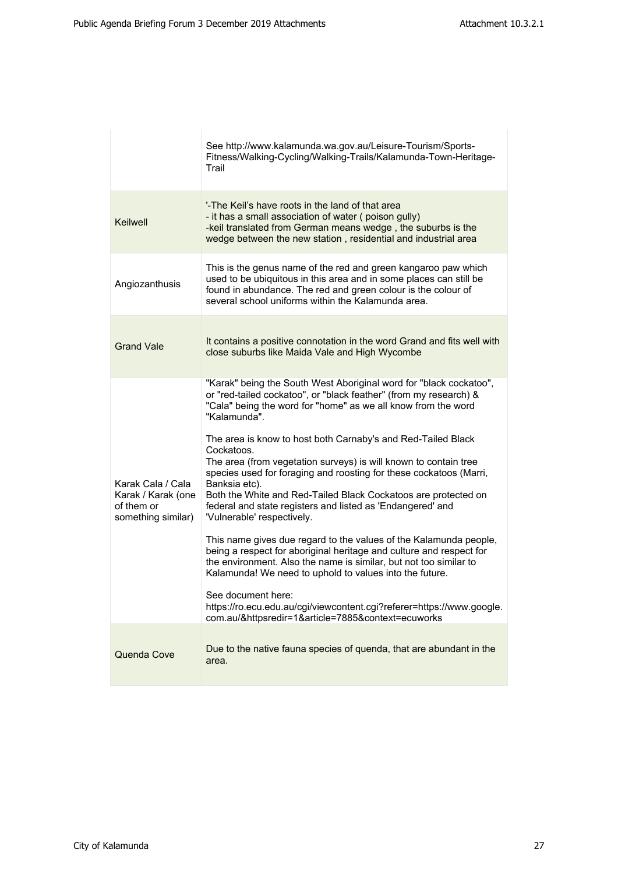|                                                                             | See http://www.kalamunda.wa.gov.au/Leisure-Tourism/Sports-<br>Fitness/Walking-Cycling/Walking-Trails/Kalamunda-Town-Heritage-<br>Trail                                                                                                                                                                                                                                                                                                                                                                                                                                                                                                                                                                                                                                                                                                                                                                                                                                                                                                                           |
|-----------------------------------------------------------------------------|------------------------------------------------------------------------------------------------------------------------------------------------------------------------------------------------------------------------------------------------------------------------------------------------------------------------------------------------------------------------------------------------------------------------------------------------------------------------------------------------------------------------------------------------------------------------------------------------------------------------------------------------------------------------------------------------------------------------------------------------------------------------------------------------------------------------------------------------------------------------------------------------------------------------------------------------------------------------------------------------------------------------------------------------------------------|
| Keilwell                                                                    | '-The Keil's have roots in the land of that area<br>- it has a small association of water (poison gully)<br>-keil translated from German means wedge, the suburbs is the<br>wedge between the new station, residential and industrial area                                                                                                                                                                                                                                                                                                                                                                                                                                                                                                                                                                                                                                                                                                                                                                                                                       |
| Angiozanthusis                                                              | This is the genus name of the red and green kangaroo paw which<br>used to be ubiquitous in this area and in some places can still be<br>found in abundance. The red and green colour is the colour of<br>several school uniforms within the Kalamunda area.                                                                                                                                                                                                                                                                                                                                                                                                                                                                                                                                                                                                                                                                                                                                                                                                      |
| <b>Grand Vale</b>                                                           | It contains a positive connotation in the word Grand and fits well with<br>close suburbs like Maida Vale and High Wycombe                                                                                                                                                                                                                                                                                                                                                                                                                                                                                                                                                                                                                                                                                                                                                                                                                                                                                                                                        |
| Karak Cala / Cala<br>Karak / Karak (one<br>of them or<br>something similar) | "Karak" being the South West Aboriginal word for "black cockatoo",<br>or "red-tailed cockatoo", or "black feather" (from my research) &<br>"Cala" being the word for "home" as we all know from the word<br>"Kalamunda".<br>The area is know to host both Carnaby's and Red-Tailed Black<br>Cockatoos.<br>The area (from vegetation surveys) is will known to contain tree<br>species used for foraging and roosting for these cockatoos (Marri,<br>Banksia etc).<br>Both the White and Red-Tailed Black Cockatoos are protected on<br>federal and state registers and listed as 'Endangered' and<br>'Vulnerable' respectively.<br>This name gives due regard to the values of the Kalamunda people,<br>being a respect for aboriginal heritage and culture and respect for<br>the environment. Also the name is similar, but not too similar to<br>Kalamunda! We need to uphold to values into the future.<br>See document here:<br>https://ro.ecu.edu.au/cgi/viewcontent.cgi?referer=https://www.google.<br>com.au/&httpsredir=1&article=7885&context=ecuworks |
| Quenda Cove                                                                 | Due to the native fauna species of quenda, that are abundant in the<br>area.                                                                                                                                                                                                                                                                                                                                                                                                                                                                                                                                                                                                                                                                                                                                                                                                                                                                                                                                                                                     |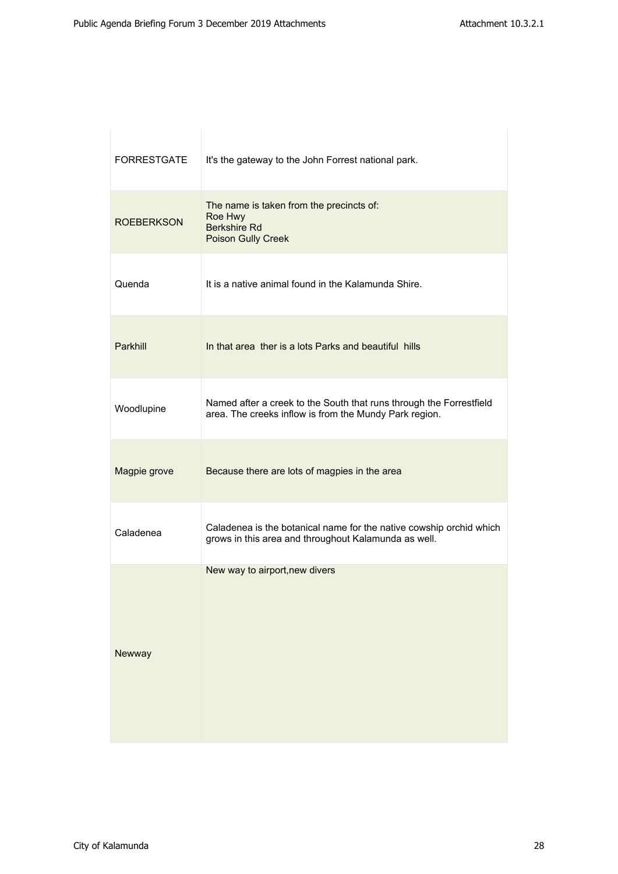| <b>FORRESTGATE</b> | It's the gateway to the John Forrest national park.                                                                           |
|--------------------|-------------------------------------------------------------------------------------------------------------------------------|
| <b>ROEBERKSON</b>  | The name is taken from the precincts of:<br>Roe Hwy<br><b>Berkshire Rd</b><br>Poison Gully Creek                              |
| Quenda             | It is a native animal found in the Kalamunda Shire.                                                                           |
| Parkhill           | In that area ther is a lots Parks and beautiful hills                                                                         |
| Woodlupine         | Named after a creek to the South that runs through the Forrestfield<br>area. The creeks inflow is from the Mundy Park region. |
| Magpie grove       | Because there are lots of magpies in the area                                                                                 |
| Caladenea          | Caladenea is the botanical name for the native cowship orchid which<br>grows in this area and throughout Kalamunda as well.   |
| Newway             | New way to airport, new divers                                                                                                |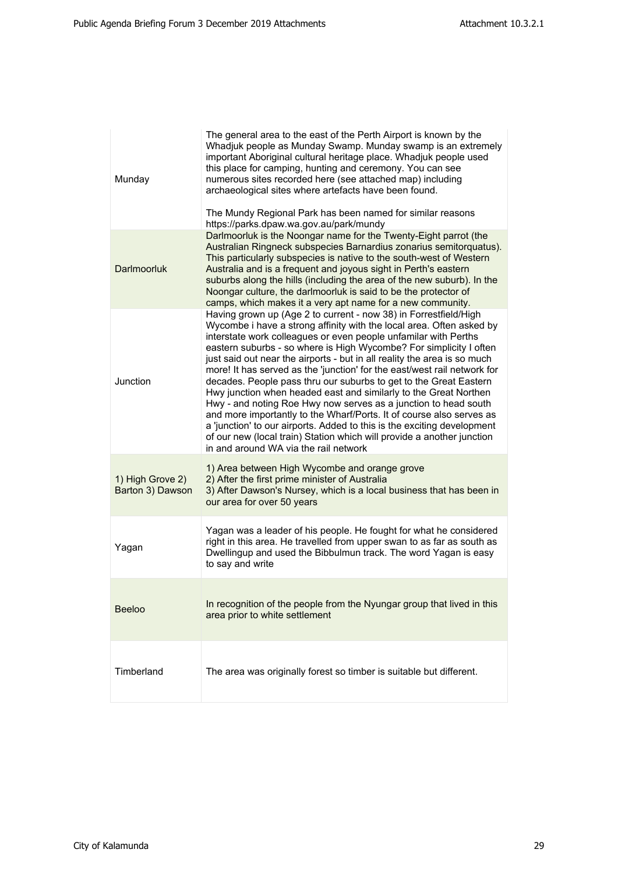| Munday                               | The general area to the east of the Perth Airport is known by the<br>Whadjuk people as Munday Swamp. Munday swamp is an extremely<br>important Aboriginal cultural heritage place. Whadjuk people used<br>this place for camping, hunting and ceremony. You can see<br>numerous sites recorded here (see attached map) including<br>archaeological sites where artefacts have been found.<br>The Mundy Regional Park has been named for similar reasons<br>https://parks.dpaw.wa.gov.au/park/mundy                                                                                                                                                                                                                                                                                                                                                                                                                          |
|--------------------------------------|-----------------------------------------------------------------------------------------------------------------------------------------------------------------------------------------------------------------------------------------------------------------------------------------------------------------------------------------------------------------------------------------------------------------------------------------------------------------------------------------------------------------------------------------------------------------------------------------------------------------------------------------------------------------------------------------------------------------------------------------------------------------------------------------------------------------------------------------------------------------------------------------------------------------------------|
| <b>Darlmoorluk</b>                   | Darlmoorluk is the Noongar name for the Twenty-Eight parrot (the<br>Australian Ringneck subspecies Barnardius zonarius semitorquatus).<br>This particularly subspecies is native to the south-west of Western<br>Australia and is a frequent and joyous sight in Perth's eastern<br>suburbs along the hills (including the area of the new suburb). In the<br>Noongar culture, the darlmoorluk is said to be the protector of<br>camps, which makes it a very apt name for a new community.                                                                                                                                                                                                                                                                                                                                                                                                                                 |
| Junction                             | Having grown up (Age 2 to current - now 38) in Forrestfield/High<br>Wycombe i have a strong affinity with the local area. Often asked by<br>interstate work colleagues or even people unfamilar with Perths<br>eastern suburbs - so where is High Wycombe? For simplicity I often<br>just said out near the airports - but in all reality the area is so much<br>more! It has served as the 'junction' for the east/west rail network for<br>decades. People pass thru our suburbs to get to the Great Eastern<br>Hwy junction when headed east and similarly to the Great Northen<br>Hwy - and noting Roe Hwy now serves as a junction to head south<br>and more importantly to the Wharf/Ports. It of course also serves as<br>a 'junction' to our airports. Added to this is the exciting development<br>of our new (local train) Station which will provide a another junction<br>in and around WA via the rail network |
| 1) High Grove 2)<br>Barton 3) Dawson | 1) Area between High Wycombe and orange grove<br>2) After the first prime minister of Australia<br>3) After Dawson's Nursey, which is a local business that has been in<br>our area for over 50 years                                                                                                                                                                                                                                                                                                                                                                                                                                                                                                                                                                                                                                                                                                                       |
| Yagan                                | Yagan was a leader of his people. He fought for what he considered<br>right in this area. He travelled from upper swan to as far as south as<br>Dwellingup and used the Bibbulmun track. The word Yagan is easy<br>to say and write                                                                                                                                                                                                                                                                                                                                                                                                                                                                                                                                                                                                                                                                                         |
| <b>Beeloo</b>                        | In recognition of the people from the Nyungar group that lived in this<br>area prior to white settlement                                                                                                                                                                                                                                                                                                                                                                                                                                                                                                                                                                                                                                                                                                                                                                                                                    |
| Timberland                           | The area was originally forest so timber is suitable but different.                                                                                                                                                                                                                                                                                                                                                                                                                                                                                                                                                                                                                                                                                                                                                                                                                                                         |